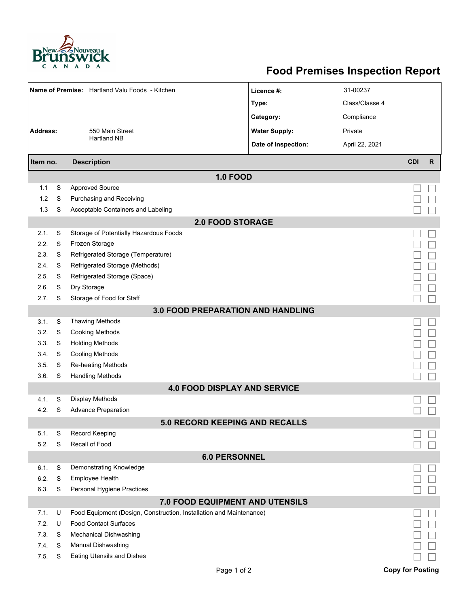

## **Food Premises Inspection Report**

| Name of Premise: Hartland Valu Foods - Kitchen |   |                                                                     | Licence #:           | 31-00237       |                         |              |  |  |  |  |  |
|------------------------------------------------|---|---------------------------------------------------------------------|----------------------|----------------|-------------------------|--------------|--|--|--|--|--|
|                                                |   |                                                                     | Type:                | Class/Classe 4 |                         |              |  |  |  |  |  |
|                                                |   |                                                                     | Category:            | Compliance     |                         |              |  |  |  |  |  |
| <b>Address:</b>                                |   | 550 Main Street                                                     | <b>Water Supply:</b> | Private        |                         |              |  |  |  |  |  |
|                                                |   | <b>Hartland NB</b>                                                  | Date of Inspection:  | April 22, 2021 |                         |              |  |  |  |  |  |
|                                                |   |                                                                     |                      |                |                         |              |  |  |  |  |  |
| Item no.                                       |   | <b>Description</b>                                                  |                      |                | <b>CDI</b>              | $\mathsf{R}$ |  |  |  |  |  |
| <b>1.0 FOOD</b>                                |   |                                                                     |                      |                |                         |              |  |  |  |  |  |
| 1.1                                            | S | <b>Approved Source</b>                                              |                      |                |                         |              |  |  |  |  |  |
| 1.2                                            | S | Purchasing and Receiving                                            |                      |                |                         |              |  |  |  |  |  |
| 1.3                                            | S | Acceptable Containers and Labeling                                  |                      |                |                         |              |  |  |  |  |  |
| <b>2.0 FOOD STORAGE</b>                        |   |                                                                     |                      |                |                         |              |  |  |  |  |  |
| 2.1.                                           | S | Storage of Potentially Hazardous Foods                              |                      |                |                         |              |  |  |  |  |  |
| 2.2.                                           | S | Frozen Storage                                                      |                      |                |                         |              |  |  |  |  |  |
| 2.3.                                           | S | Refrigerated Storage (Temperature)                                  |                      |                |                         |              |  |  |  |  |  |
| 2.4.                                           | S | Refrigerated Storage (Methods)                                      |                      |                |                         |              |  |  |  |  |  |
| 2.5.                                           | S | Refrigerated Storage (Space)                                        |                      |                |                         |              |  |  |  |  |  |
| 2.6.                                           | S | Dry Storage                                                         |                      |                |                         |              |  |  |  |  |  |
| 2.7.                                           | S | Storage of Food for Staff                                           |                      |                |                         |              |  |  |  |  |  |
|                                                |   | 3.0 FOOD PREPARATION AND HANDLING                                   |                      |                |                         |              |  |  |  |  |  |
| 3.1.                                           | S | <b>Thawing Methods</b>                                              |                      |                |                         |              |  |  |  |  |  |
| 3.2.                                           | S | <b>Cooking Methods</b>                                              |                      |                |                         |              |  |  |  |  |  |
| 3.3.                                           | S | <b>Holding Methods</b>                                              |                      |                |                         |              |  |  |  |  |  |
| 3.4.                                           | S | <b>Cooling Methods</b>                                              |                      |                |                         |              |  |  |  |  |  |
| 3.5.                                           | S | <b>Re-heating Methods</b>                                           |                      |                |                         |              |  |  |  |  |  |
| 3.6.                                           | S | <b>Handling Methods</b>                                             |                      |                |                         |              |  |  |  |  |  |
|                                                |   | <b>4.0 FOOD DISPLAY AND SERVICE</b>                                 |                      |                |                         |              |  |  |  |  |  |
| 4.1.                                           | S | <b>Display Methods</b>                                              |                      |                |                         |              |  |  |  |  |  |
| 4.2.                                           | S | <b>Advance Preparation</b>                                          |                      |                |                         |              |  |  |  |  |  |
|                                                |   | 5.0 RECORD KEEPING AND RECALLS                                      |                      |                |                         |              |  |  |  |  |  |
| 5.1.                                           | S | Record Keeping                                                      |                      |                |                         |              |  |  |  |  |  |
| 5.2.                                           | S | Recall of Food                                                      |                      |                |                         |              |  |  |  |  |  |
| <b>6.0 PERSONNEL</b>                           |   |                                                                     |                      |                |                         |              |  |  |  |  |  |
| 6.1.                                           | S | Demonstrating Knowledge                                             |                      |                |                         |              |  |  |  |  |  |
| 6.2.                                           | S | Employee Health                                                     |                      |                |                         |              |  |  |  |  |  |
| 6.3.                                           | S | Personal Hygiene Practices                                          |                      |                |                         |              |  |  |  |  |  |
| 7.0 FOOD EQUIPMENT AND UTENSILS                |   |                                                                     |                      |                |                         |              |  |  |  |  |  |
| 7.1.                                           | U | Food Equipment (Design, Construction, Installation and Maintenance) |                      |                |                         |              |  |  |  |  |  |
| 7.2.                                           | U | <b>Food Contact Surfaces</b>                                        |                      |                |                         |              |  |  |  |  |  |
| 7.3                                            | S | <b>Mechanical Dishwashing</b>                                       |                      |                |                         |              |  |  |  |  |  |
| 7.4.                                           | S | Manual Dishwashing                                                  |                      |                |                         |              |  |  |  |  |  |
| 7.5.                                           | S | <b>Eating Utensils and Dishes</b>                                   |                      |                |                         |              |  |  |  |  |  |
|                                                |   | Page 1 of 2                                                         |                      |                | <b>Copy for Posting</b> |              |  |  |  |  |  |